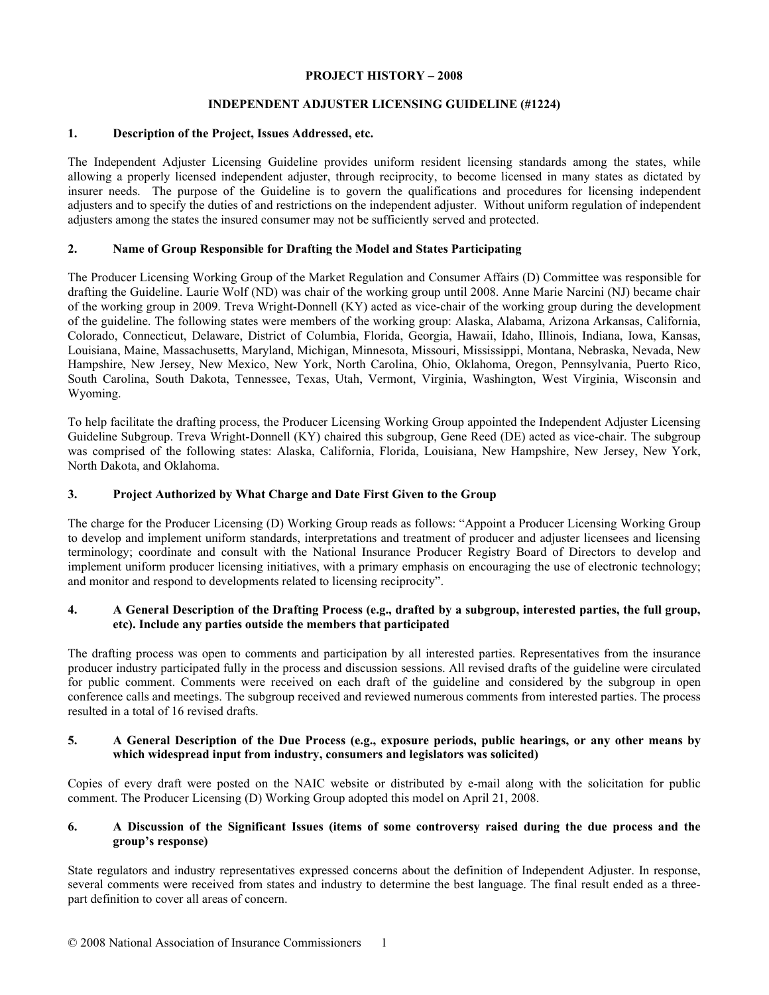### **PROJECT HISTORY – 2008**

# **INDEPENDENT ADJUSTER LICENSING GUIDELINE (#1224)**

## **1. Description of the Project, Issues Addressed, etc.**

The Independent Adjuster Licensing Guideline provides uniform resident licensing standards among the states, while allowing a properly licensed independent adjuster, through reciprocity, to become licensed in many states as dictated by insurer needs. The purpose of the Guideline is to govern the qualifications and procedures for licensing independent adjusters and to specify the duties of and restrictions on the independent adjuster. Without uniform regulation of independent adjusters among the states the insured consumer may not be sufficiently served and protected.

## **2. Name of Group Responsible for Drafting the Model and States Participating**

The Producer Licensing Working Group of the Market Regulation and Consumer Affairs (D) Committee was responsible for drafting the Guideline. Laurie Wolf (ND) was chair of the working group until 2008. Anne Marie Narcini (NJ) became chair of the working group in 2009. Treva Wright-Donnell (KY) acted as vice-chair of the working group during the development of the guideline. The following states were members of the working group: Alaska, Alabama, Arizona Arkansas, California, Colorado, Connecticut, Delaware, District of Columbia, Florida, Georgia, Hawaii, Idaho, Illinois, Indiana, Iowa, Kansas, Louisiana, Maine, Massachusetts, Maryland, Michigan, Minnesota, Missouri, Mississippi, Montana, Nebraska, Nevada, New Hampshire, New Jersey, New Mexico, New York, North Carolina, Ohio, Oklahoma, Oregon, Pennsylvania, Puerto Rico, South Carolina, South Dakota, Tennessee, Texas, Utah, Vermont, Virginia, Washington, West Virginia, Wisconsin and Wyoming.

To help facilitate the drafting process, the Producer Licensing Working Group appointed the Independent Adjuster Licensing Guideline Subgroup. Treva Wright-Donnell (KY) chaired this subgroup, Gene Reed (DE) acted as vice-chair. The subgroup was comprised of the following states: Alaska, California, Florida, Louisiana, New Hampshire, New Jersey, New York, North Dakota, and Oklahoma.

# **3. Project Authorized by What Charge and Date First Given to the Group**

The charge for the Producer Licensing (D) Working Group reads as follows: "Appoint a Producer Licensing Working Group to develop and implement uniform standards, interpretations and treatment of producer and adjuster licensees and licensing terminology; coordinate and consult with the National Insurance Producer Registry Board of Directors to develop and implement uniform producer licensing initiatives, with a primary emphasis on encouraging the use of electronic technology; and monitor and respond to developments related to licensing reciprocity".

### **4. A General Description of the Drafting Process (e.g., drafted by a subgroup, interested parties, the full group, etc). Include any parties outside the members that participated**

The drafting process was open to comments and participation by all interested parties. Representatives from the insurance producer industry participated fully in the process and discussion sessions. All revised drafts of the guideline were circulated for public comment. Comments were received on each draft of the guideline and considered by the subgroup in open conference calls and meetings. The subgroup received and reviewed numerous comments from interested parties. The process resulted in a total of 16 revised drafts.

### **5. A General Description of the Due Process (e.g., exposure periods, public hearings, or any other means by which widespread input from industry, consumers and legislators was solicited)**

Copies of every draft were posted on the NAIC website or distributed by e-mail along with the solicitation for public comment. The Producer Licensing (D) Working Group adopted this model on April 21, 2008.

### **6. A Discussion of the Significant Issues (items of some controversy raised during the due process and the group's response)**

State regulators and industry representatives expressed concerns about the definition of Independent Adjuster. In response, several comments were received from states and industry to determine the best language. The final result ended as a threepart definition to cover all areas of concern.